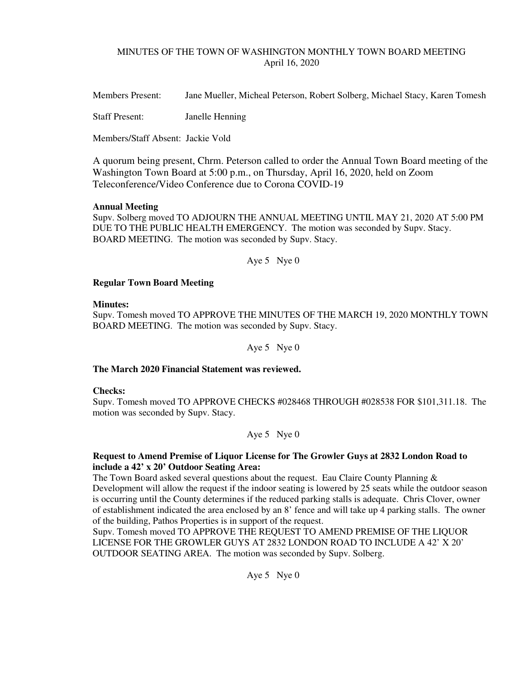# MINUTES OF THE TOWN OF WASHINGTON MONTHLY TOWN BOARD MEETING April 16, 2020

Members Present: Jane Mueller, Micheal Peterson, Robert Solberg, Michael Stacy, Karen Tomesh

Staff Present: Janelle Henning

Members/Staff Absent: Jackie Vold

A quorum being present, Chrm. Peterson called to order the Annual Town Board meeting of the Washington Town Board at 5:00 p.m., on Thursday, April 16, 2020, held on Zoom Teleconference/Video Conference due to Corona COVID-19

# **Annual Meeting**

Supv. Solberg moved TO ADJOURN THE ANNUAL MEETING UNTIL MAY 21, 2020 AT 5:00 PM DUE TO THE PUBLIC HEALTH EMERGENCY. The motion was seconded by Supv. Stacy. BOARD MEETING. The motion was seconded by Supv. Stacy.

Aye 5 Nye 0

# **Regular Town Board Meeting**

### **Minutes:**

Supv. Tomesh moved TO APPROVE THE MINUTES OF THE MARCH 19, 2020 MONTHLY TOWN BOARD MEETING. The motion was seconded by Supv. Stacy.

Aye 5 Nye 0

# **The March 2020 Financial Statement was reviewed.**

### **Checks:**

Supv. Tomesh moved TO APPROVE CHECKS #028468 THROUGH #028538 FOR \$101,311.18. The motion was seconded by Supv. Stacy.

Aye 5 Nye 0

# **Request to Amend Premise of Liquor License for The Growler Guys at 2832 London Road to include a 42' x 20' Outdoor Seating Area:**

The Town Board asked several questions about the request. Eau Claire County Planning  $\&$ Development will allow the request if the indoor seating is lowered by 25 seats while the outdoor season is occurring until the County determines if the reduced parking stalls is adequate. Chris Clover, owner of establishment indicated the area enclosed by an 8' fence and will take up 4 parking stalls. The owner of the building, Pathos Properties is in support of the request.

Supv. Tomesh moved TO APPROVE THE REQUEST TO AMEND PREMISE OF THE LIQUOR LICENSE FOR THE GROWLER GUYS AT 2832 LONDON ROAD TO INCLUDE A 42' X 20' OUTDOOR SEATING AREA. The motion was seconded by Supv. Solberg.

Aye 5 Nye 0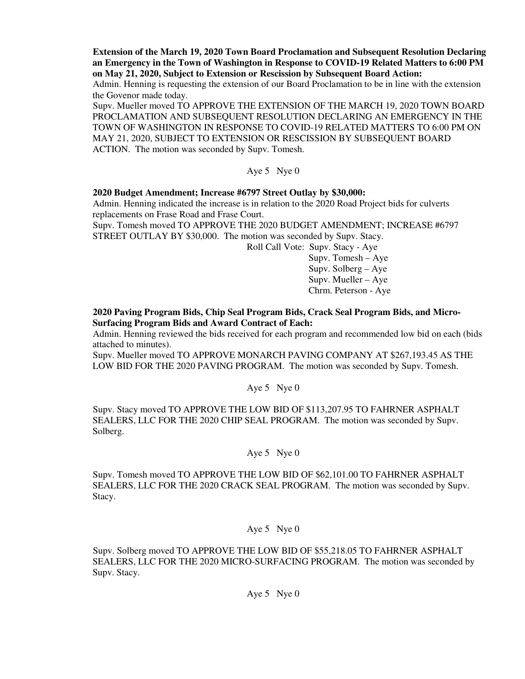**Extension of the March 19, 2020 Town Board Proclamation and Subsequent Resolution Declaring an Emergency in the Town of Washington in Response to COVID-19 Related Matters to 6:00 PM on May 21, 2020, Subject to Extension or Rescission by Subsequent Board Action:** 

Admin. Henning is requesting the extension of our Board Proclamation to be in line with the extension the Govenor made today.

Supv. Mueller moved TO APPROVE THE EXTENSION OF THE MARCH 19, 2020 TOWN BOARD PROCLAMATION AND SUBSEQUENT RESOLUTION DECLARING AN EMERGENCY IN THE TOWN OF WASHINGTON IN RESPONSE TO COVID-19 RELATED MATTERS TO 6:00 PM ON MAY 21, 2020, SUBJECT TO EXTENSION OR RESCISSION BY SUBSEQUENT BOARD ACTION. The motion was seconded by Supv. Tomesh.

# Aye 5 Nye 0

### **2020 Budget Amendment; Increase #6797 Street Outlay by \$30,000:**

Admin. Henning indicated the increase is in relation to the 2020 Road Project bids for culverts replacements on Frase Road and Frase Court.

Supv. Tomesh moved TO APPROVE THE 2020 BUDGET AMENDMENT; INCREASE #6797 STREET OUTLAY BY \$30,000. The motion was seconded by Supv. Stacy.

Roll Call Vote: Supv. Stacy - Aye

 Supv. Tomesh – Aye Supv. Solberg – Aye Supv. Mueller – Aye Chrm. Peterson - Aye

## **2020 Paving Program Bids, Chip Seal Program Bids, Crack Seal Program Bids, and Micro-Surfacing Program Bids and Award Contract of Each:**

Admin. Henning reviewed the bids received for each program and recommended low bid on each (bids attached to minutes).

Supv. Mueller moved TO APPROVE MONARCH PAVING COMPANY AT \$267,193.45 AS THE LOW BID FOR THE 2020 PAVING PROGRAM. The motion was seconded by Supv. Tomesh.

### Aye 5 Nye 0

Supv. Stacy moved TO APPROVE THE LOW BID OF \$113,207.95 TO FAHRNER ASPHALT SEALERS, LLC FOR THE 2020 CHIP SEAL PROGRAM. The motion was seconded by Supv. Solberg.

### Aye 5 Nye 0

Supv. Tomesh moved TO APPROVE THE LOW BID OF \$62,101.00 TO FAHRNER ASPHALT SEALERS, LLC FOR THE 2020 CRACK SEAL PROGRAM. The motion was seconded by Supv. Stacy.

#### Aye 5 Nye 0

Supv. Solberg moved TO APPROVE THE LOW BID OF \$55,218.05 TO FAHRNER ASPHALT SEALERS, LLC FOR THE 2020 MICRO-SURFACING PROGRAM. The motion was seconded by Supv. Stacy.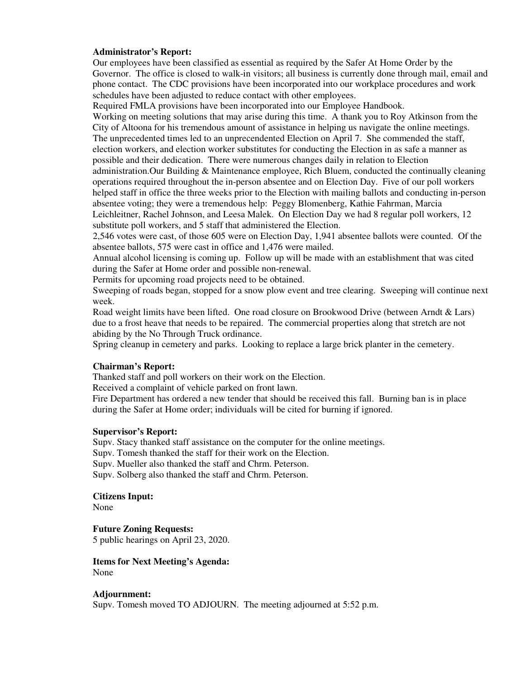### **Administrator's Report:**

Our employees have been classified as essential as required by the Safer At Home Order by the Governor. The office is closed to walk-in visitors; all business is currently done through mail, email and phone contact. The CDC provisions have been incorporated into our workplace procedures and work schedules have been adjusted to reduce contact with other employees.

Required FMLA provisions have been incorporated into our Employee Handbook.

Working on meeting solutions that may arise during this time. A thank you to Roy Atkinson from the City of Altoona for his tremendous amount of assistance in helping us navigate the online meetings. The unprecedented times led to an unprecendented Election on April 7. She commended the staff, election workers, and election worker substitutes for conducting the Election in as safe a manner as possible and their dedication. There were numerous changes daily in relation to Election administration.Our Building & Maintenance employee, Rich Bluem, conducted the continually cleaning operations required throughout the in-person absentee and on Election Day. Five of our poll workers helped staff in office the three weeks prior to the Election with mailing ballots and conducting in-person absentee voting; they were a tremendous help: Peggy Blomenberg, Kathie Fahrman, Marcia Leichleitner, Rachel Johnson, and Leesa Malek. On Election Day we had 8 regular poll workers, 12 substitute poll workers, and 5 staff that administered the Election.

2,546 votes were cast, of those 605 were on Election Day, 1,941 absentee ballots were counted. Of the absentee ballots, 575 were cast in office and 1,476 were mailed.

Annual alcohol licensing is coming up. Follow up will be made with an establishment that was cited during the Safer at Home order and possible non-renewal.

Permits for upcoming road projects need to be obtained.

Sweeping of roads began, stopped for a snow plow event and tree clearing. Sweeping will continue next week.

Road weight limits have been lifted. One road closure on Brookwood Drive (between Arndt & Lars) due to a frost heave that needs to be repaired. The commercial properties along that stretch are not abiding by the No Through Truck ordinance.

Spring cleanup in cemetery and parks. Looking to replace a large brick planter in the cemetery.

#### **Chairman's Report:**

Thanked staff and poll workers on their work on the Election.

Received a complaint of vehicle parked on front lawn.

Fire Department has ordered a new tender that should be received this fall. Burning ban is in place during the Safer at Home order; individuals will be cited for burning if ignored.

#### **Supervisor's Report:**

Supv. Stacy thanked staff assistance on the computer for the online meetings.

Supv. Tomesh thanked the staff for their work on the Election.

Supv. Mueller also thanked the staff and Chrm. Peterson.

Supv. Solberg also thanked the staff and Chrm. Peterson.

**Citizens Input:** 

None

**Future Zoning Requests:** 

5 public hearings on April 23, 2020.

**Items for Next Meeting's Agenda:**  None

#### **Adjournment:**

Supv. Tomesh moved TO ADJOURN. The meeting adjourned at 5:52 p.m.